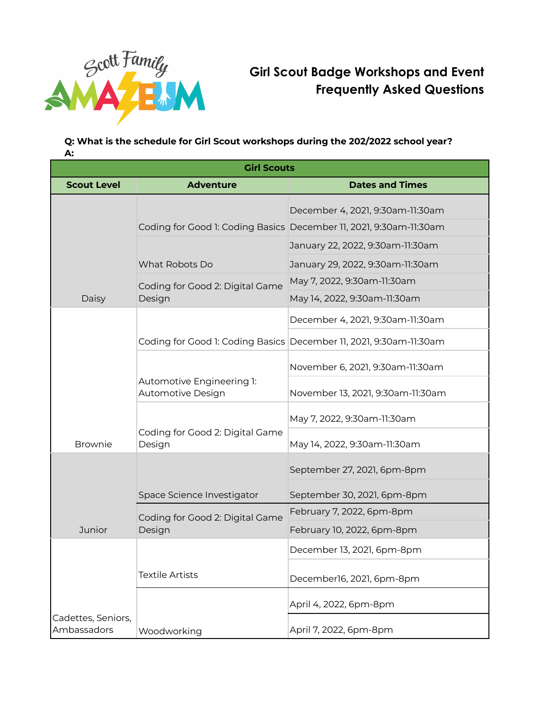

# **Girl Scout Badge Workshops and Event Frequently Asked Questions**

## **Q: What is the schedule for Girl Scout workshops during the 202/2022 school year? A:**

| <b>Girl Scouts</b>                |                                                |                                                                                                        |
|-----------------------------------|------------------------------------------------|--------------------------------------------------------------------------------------------------------|
| <b>Scout Level</b>                | <b>Adventure</b>                               | <b>Dates and Times</b>                                                                                 |
| Daisy                             |                                                | December 4, 2021, 9:30am-11:30am<br>Coding for Good 1: Coding Basics December 11, 2021, 9:30am-11:30am |
|                                   |                                                | January 22, 2022, 9:30am-11:30am                                                                       |
|                                   | What Robots Do                                 | January 29, 2022, 9:30am-11:30am                                                                       |
|                                   | Coding for Good 2: Digital Game<br>Design      | May 7, 2022, 9:30am-11:30am                                                                            |
|                                   |                                                | May 14, 2022, 9:30am-11:30am                                                                           |
| <b>Brownie</b>                    |                                                | December 4, 2021, 9:30am-11:30am                                                                       |
|                                   |                                                | Coding for Good 1: Coding Basics December 11, 2021, 9:30am-11:30am                                     |
|                                   | Automotive Engineering 1:<br>Automotive Design | November 6, 2021, 9:30am-11:30am                                                                       |
|                                   |                                                | November 13, 2021, 9:30am-11:30am                                                                      |
|                                   | Coding for Good 2: Digital Game<br>Design      | May 7, 2022, 9:30am-11:30am                                                                            |
|                                   |                                                | May 14, 2022, 9:30am-11:30am                                                                           |
| <b>Junior</b>                     |                                                | September 27, 2021, 6pm-8pm                                                                            |
|                                   | Space Science Investigator                     | September 30, 2021, 6pm-8pm                                                                            |
|                                   | Coding for Good 2: Digital Game<br>Design      | February 7, 2022, 6pm-8pm                                                                              |
|                                   |                                                | February 10, 2022, 6pm-8pm                                                                             |
|                                   |                                                | December 13, 2021, 6pm-8pm                                                                             |
|                                   | <b>Textile Artists</b>                         | December16, 2021, 6pm-8pm                                                                              |
|                                   |                                                | April 4, 2022, 6pm-8pm                                                                                 |
| Cadettes, Seniors,<br>Ambassadors | Woodworking                                    | April 7, 2022, 6pm-8pm                                                                                 |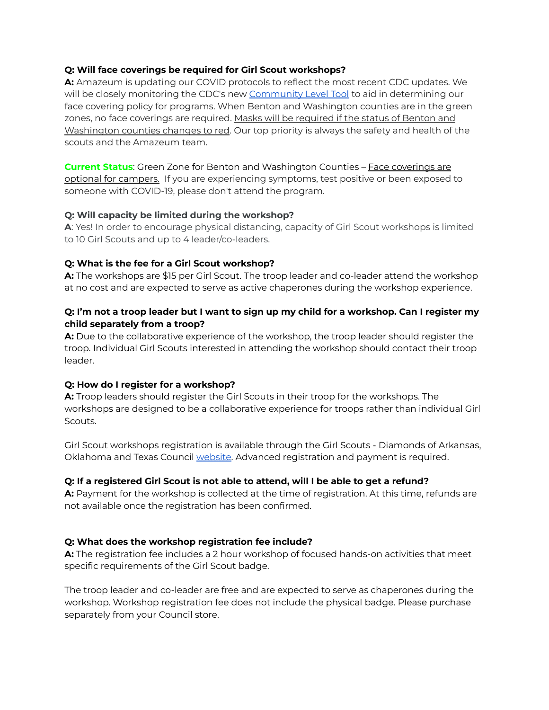## **Q: Will face coverings be required for Girl Scout workshops?**

**A:** Amazeum is updating our COVID protocols to reflect the most recent CDC updates. We will be closely monitoring the CDC's new [Community](https://www.cdc.gov/coronavirus/2019-ncov/your-health/covid-by-county.html) Level Tool to aid in determining our face covering policy for programs. When Benton and Washington counties are in the green zones, no face coverings are required. Masks will be required if the status of Benton and Washington counties changes to red. Our top priority is always the safety and health of the scouts and the Amazeum team.

**Current Status**: Green Zone for Benton and Washington Counties – Face coverings are optional for campers. If you are experiencing symptoms, test positive or been exposed to someone with COVID-19, please don't attend the program.

## **Q: Will capacity be limited during the workshop?**

**A**: Yes! In order to encourage physical distancing, capacity of Girl Scout workshops is limited to 10 Girl Scouts and up to 4 leader/co-leaders.

## **Q: What is the fee for a Girl Scout workshop?**

**A:** The workshops are \$15 per Girl Scout. The troop leader and co-leader attend the workshop at no cost and are expected to serve as active chaperones during the workshop experience.

## Q: I'm not a troop leader but I want to sign up my child for a workshop. Can I register my **child separately from a troop?**

**A:** Due to the collaborative experience of the workshop, the troop leader should register the troop. Individual Girl Scouts interested in attending the workshop should contact their troop leader.

## **Q: How do I register for a workshop?**

**A:** Troop leaders should register the Girl Scouts in their troop for the workshops. The workshops are designed to be a collaborative experience for troops rather than individual Girl Scouts.

Girl Scout workshops registration is available through the Girl Scouts - Diamonds of Arkansas, Oklahoma and Texas Council [website](http://www.girlscoutsdiamonds.org/activities-training-calendar/). Advanced registration and payment is required.

## **Q: If a registered Girl Scout is not able to attend, will I be able to get a refund?**

**A:** Payment for the workshop is collected at the time of registration. At this time, refunds are not available once the registration has been confirmed.

## **Q: What does the workshop registration fee include?**

**A:** The registration fee includes a 2 hour workshop of focused hands-on activities that meet specific requirements of the Girl Scout badge.

The troop leader and co-leader are free and are expected to serve as chaperones during the workshop. Workshop registration fee does not include the physical badge. Please purchase separately from your Council store.